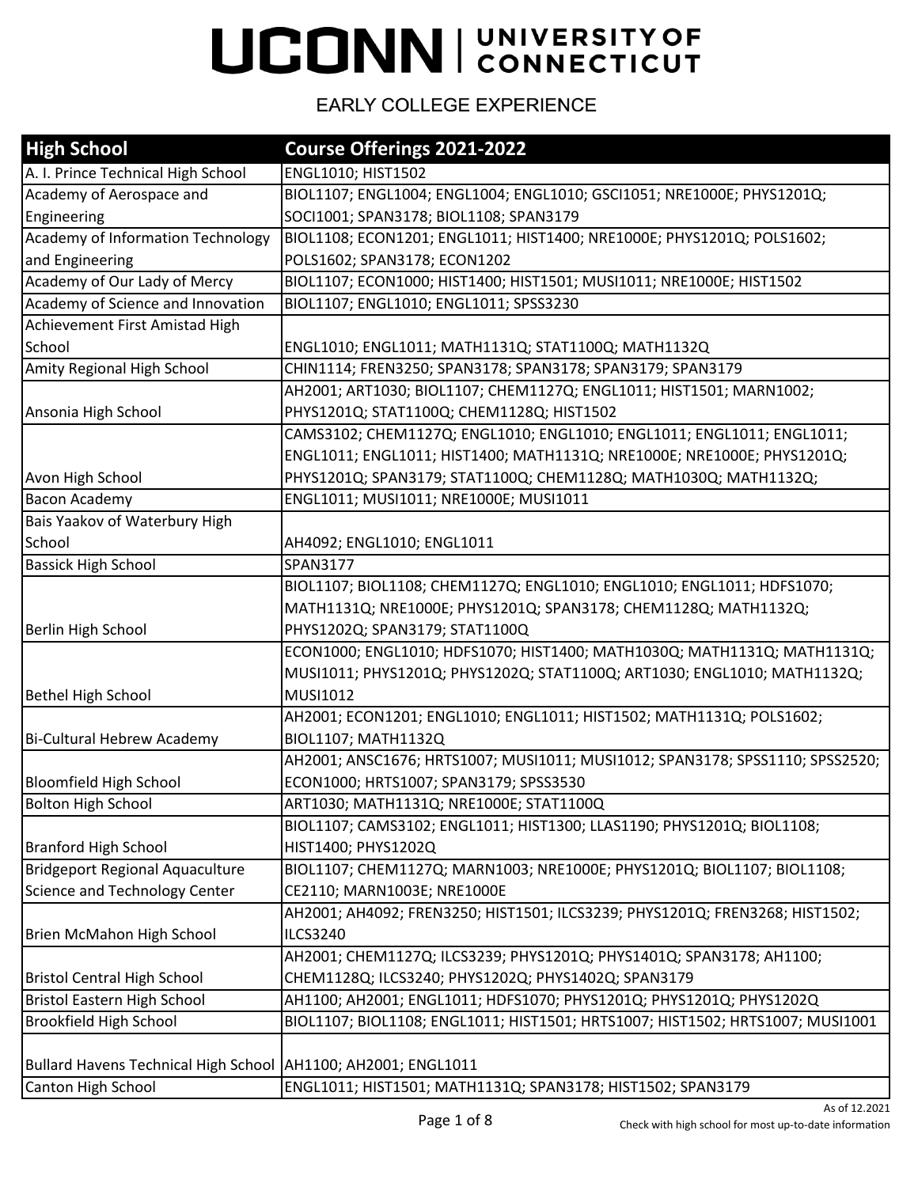| <b>High School</b>                                              | Course Offerings 2021-2022                                                     |
|-----------------------------------------------------------------|--------------------------------------------------------------------------------|
| A. I. Prince Technical High School                              | ENGL1010; HIST1502                                                             |
| Academy of Aerospace and                                        | BIOL1107; ENGL1004; ENGL1004; ENGL1010; GSCI1051; NRE1000E; PHYS1201Q;         |
| Engineering                                                     | SOCI1001; SPAN3178; BIOL1108; SPAN3179                                         |
| Academy of Information Technology                               | BIOL1108; ECON1201; ENGL1011; HIST1400; NRE1000E; PHYS1201Q; POLS1602;         |
| and Engineering                                                 | POLS1602; SPAN3178; ECON1202                                                   |
| Academy of Our Lady of Mercy                                    | BIOL1107; ECON1000; HIST1400; HIST1501; MUSI1011; NRE1000E; HIST1502           |
| Academy of Science and Innovation                               | BIOL1107; ENGL1010; ENGL1011; SPSS3230                                         |
| Achievement First Amistad High                                  |                                                                                |
| School                                                          | ENGL1010; ENGL1011; MATH1131Q; STAT1100Q; MATH1132Q                            |
| Amity Regional High School                                      | CHIN1114; FREN3250; SPAN3178; SPAN3178; SPAN3179; SPAN3179                     |
|                                                                 | AH2001; ART1030; BIOL1107; CHEM1127Q; ENGL1011; HIST1501; MARN1002;            |
| Ansonia High School                                             | PHYS1201Q; STAT1100Q; CHEM1128Q; HIST1502                                      |
|                                                                 | CAMS3102; CHEM1127Q; ENGL1010; ENGL1010; ENGL1011; ENGL1011; ENGL1011;         |
|                                                                 | ENGL1011; ENGL1011; HIST1400; MATH1131Q; NRE1000E; NRE1000E; PHYS1201Q;        |
| Avon High School                                                | PHYS1201Q; SPAN3179; STAT1100Q; CHEM1128Q; MATH1030Q; MATH1132Q;               |
| <b>Bacon Academy</b>                                            | ENGL1011; MUSI1011; NRE1000E; MUSI1011                                         |
| Bais Yaakov of Waterbury High                                   |                                                                                |
| School                                                          | AH4092; ENGL1010; ENGL1011                                                     |
| <b>Bassick High School</b>                                      | <b>SPAN3177</b>                                                                |
|                                                                 | BIOL1107; BIOL1108; CHEM1127Q; ENGL1010; ENGL1010; ENGL1011; HDFS1070;         |
|                                                                 | MATH1131Q; NRE1000E; PHYS1201Q; SPAN3178; CHEM1128Q; MATH1132Q;                |
| Berlin High School                                              | PHYS1202Q; SPAN3179; STAT1100Q                                                 |
|                                                                 | ECON1000; ENGL1010; HDFS1070; HIST1400; MATH1030Q; MATH1131Q; MATH1131Q;       |
|                                                                 | MUSI1011; PHYS1201Q; PHYS1202Q; STAT1100Q; ART1030; ENGL1010; MATH1132Q;       |
| Bethel High School                                              | MUSI1012                                                                       |
|                                                                 | AH2001; ECON1201; ENGL1010; ENGL1011; HIST1502; MATH1131Q; POLS1602;           |
| Bi-Cultural Hebrew Academy                                      | BIOL1107; MATH1132Q                                                            |
|                                                                 | AH2001; ANSC1676; HRTS1007; MUSI1011; MUSI1012; SPAN3178; SPSS1110; SPSS2520;  |
| <b>Bloomfield High School</b>                                   | ECON1000; HRTS1007; SPAN3179; SPSS3530                                         |
| <b>Bolton High School</b>                                       | ART1030; MATH1131Q; NRE1000E; STAT1100Q                                        |
|                                                                 | BIOL1107; CAMS3102; ENGL1011; HIST1300; LLAS1190; PHYS1201Q; BIOL1108;         |
| <b>Branford High School</b>                                     | HIST1400; PHYS1202Q                                                            |
| <b>Bridgeport Regional Aquaculture</b>                          | BIOL1107; CHEM1127Q; MARN1003; NRE1000E; PHYS1201Q; BIOL1107; BIOL1108;        |
| Science and Technology Center                                   | CE2110; MARN1003E; NRE1000E                                                    |
|                                                                 | AH2001; AH4092; FREN3250; HIST1501; ILCS3239; PHYS1201Q; FREN3268; HIST1502;   |
| Brien McMahon High School                                       | <b>ILCS3240</b>                                                                |
|                                                                 | AH2001; CHEM1127Q; ILCS3239; PHYS1201Q; PHYS1401Q; SPAN3178; AH1100;           |
| <b>Bristol Central High School</b>                              | CHEM1128Q; ILCS3240; PHYS1202Q; PHYS1402Q; SPAN3179                            |
| <b>Bristol Eastern High School</b>                              | AH1100; AH2001; ENGL1011; HDFS1070; PHYS1201Q; PHYS1201Q; PHYS1202Q            |
| <b>Brookfield High School</b>                                   | BIOL1107; BIOL1108; ENGL1011; HIST1501; HRTS1007; HIST1502; HRTS1007; MUSI1001 |
|                                                                 |                                                                                |
| Bullard Havens Technical High School   AH1100; AH2001; ENGL1011 |                                                                                |
| Canton High School                                              | ENGL1011; HIST1501; MATH1131Q; SPAN3178; HIST1502; SPAN3179                    |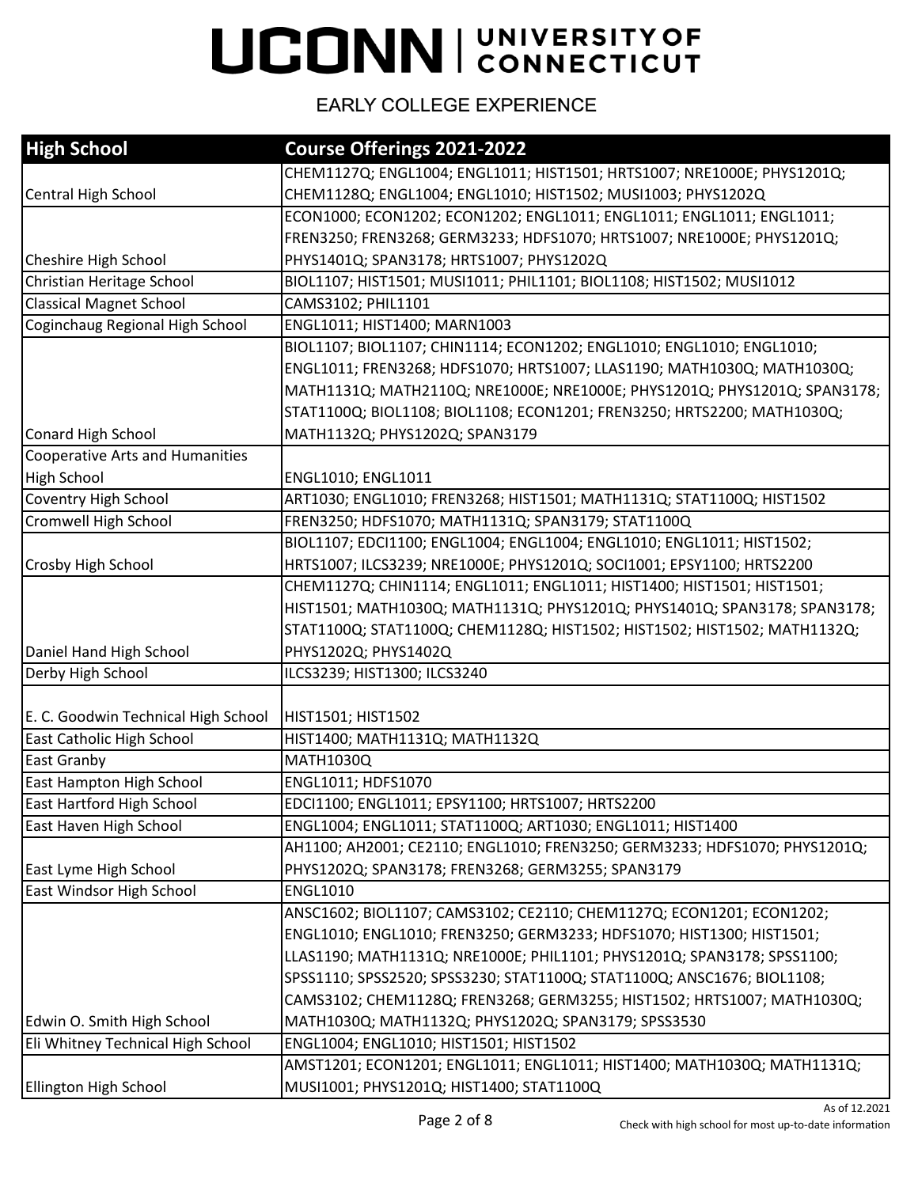| <b>High School</b>                  | Course Offerings 2021-2022                                                 |
|-------------------------------------|----------------------------------------------------------------------------|
|                                     | CHEM1127Q; ENGL1004; ENGL1011; HIST1501; HRTS1007; NRE1000E; PHYS1201Q;    |
| Central High School                 | CHEM1128Q; ENGL1004; ENGL1010; HIST1502; MUSI1003; PHYS1202Q               |
|                                     | ECON1000; ECON1202; ECON1202; ENGL1011; ENGL1011; ENGL1011; ENGL1011;      |
|                                     | FREN3250; FREN3268; GERM3233; HDFS1070; HRTS1007; NRE1000E; PHYS1201Q;     |
| Cheshire High School                | PHYS1401Q; SPAN3178; HRTS1007; PHYS1202Q                                   |
| Christian Heritage School           | BIOL1107; HIST1501; MUSI1011; PHIL1101; BIOL1108; HIST1502; MUSI1012       |
| <b>Classical Magnet School</b>      | CAMS3102; PHIL1101                                                         |
| Coginchaug Regional High School     | ENGL1011; HIST1400; MARN1003                                               |
|                                     | BIOL1107; BIOL1107; CHIN1114; ECON1202; ENGL1010; ENGL1010; ENGL1010;      |
|                                     | ENGL1011; FREN3268; HDFS1070; HRTS1007; LLAS1190; MATH1030Q; MATH1030Q;    |
|                                     | MATH1131Q; MATH2110Q; NRE1000E; NRE1000E; PHYS1201Q; PHYS1201Q; SPAN3178;  |
|                                     | STAT1100Q; BIOL1108; BIOL1108; ECON1201; FREN3250; HRTS2200; MATH1030Q;    |
| Conard High School                  | MATH1132Q; PHYS1202Q; SPAN3179                                             |
| Cooperative Arts and Humanities     |                                                                            |
| <b>High School</b>                  | ENGL1010; ENGL1011                                                         |
| Coventry High School                | ART1030; ENGL1010; FREN3268; HIST1501; MATH1131Q; STAT1100Q; HIST1502      |
| <b>Cromwell High School</b>         | FREN3250; HDFS1070; MATH1131Q; SPAN3179; STAT1100Q                         |
|                                     | BIOL1107; EDCI1100; ENGL1004; ENGL1004; ENGL1010; ENGL1011; HIST1502;      |
| <b>Crosby High School</b>           | HRTS1007; ILCS3239; NRE1000E; PHYS1201Q; SOCI1001; EPSY1100; HRTS2200      |
|                                     | CHEM1127Q; CHIN1114; ENGL1011; ENGL1011; HIST1400; HIST1501; HIST1501;     |
|                                     | HIST1501; MATH1030Q; MATH1131Q; PHYS1201Q; PHYS1401Q; SPAN3178; SPAN3178;  |
|                                     | STAT1100Q; STAT1100Q; CHEM1128Q; HIST1502; HIST1502; HIST1502; MATH1132Q;  |
| Daniel Hand High School             | PHYS1202Q; PHYS1402Q                                                       |
| Derby High School                   | ILCS3239; HIST1300; ILCS3240                                               |
|                                     |                                                                            |
| E. C. Goodwin Technical High School | HIST1501; HIST1502                                                         |
| East Catholic High School           | HIST1400; MATH1131Q; MATH1132Q                                             |
| <b>East Granby</b>                  | MATH1030Q                                                                  |
| East Hampton High School            | ENGL1011; HDFS1070                                                         |
| <b>East Hartford High School</b>    | EDCI1100; ENGL1011; EPSY1100; HRTS1007; HRTS2200                           |
| East Haven High School              | ENGL1004; ENGL1011; STAT1100Q; ART1030; ENGL1011; HIST1400                 |
|                                     | AH1100; AH2001; CE2110; ENGL1010; FREN3250; GERM3233; HDFS1070; PHYS1201Q; |
| East Lyme High School               | PHYS1202Q; SPAN3178; FREN3268; GERM3255; SPAN3179                          |
| East Windsor High School            | <b>ENGL1010</b>                                                            |
|                                     | ANSC1602; BIOL1107; CAMS3102; CE2110; CHEM1127Q; ECON1201; ECON1202;       |
|                                     | ENGL1010; ENGL1010; FREN3250; GERM3233; HDFS1070; HIST1300; HIST1501;      |
|                                     | LLAS1190; MATH1131Q; NRE1000E; PHIL1101; PHYS1201Q; SPAN3178; SPSS1100;    |
|                                     | SPSS1110; SPSS2520; SPSS3230; STAT1100Q; STAT1100Q; ANSC1676; BIOL1108;    |
|                                     | CAMS3102; CHEM1128Q; FREN3268; GERM3255; HIST1502; HRTS1007; MATH1030Q;    |
| Edwin O. Smith High School          | MATH1030Q; MATH1132Q; PHYS1202Q; SPAN3179; SPSS3530                        |
| Eli Whitney Technical High School   | ENGL1004; ENGL1010; HIST1501; HIST1502                                     |
|                                     | AMST1201; ECON1201; ENGL1011; ENGL1011; HIST1400; MATH1030Q; MATH1131Q;    |
| Ellington High School               | MUSI1001; PHYS1201Q; HIST1400; STAT1100Q                                   |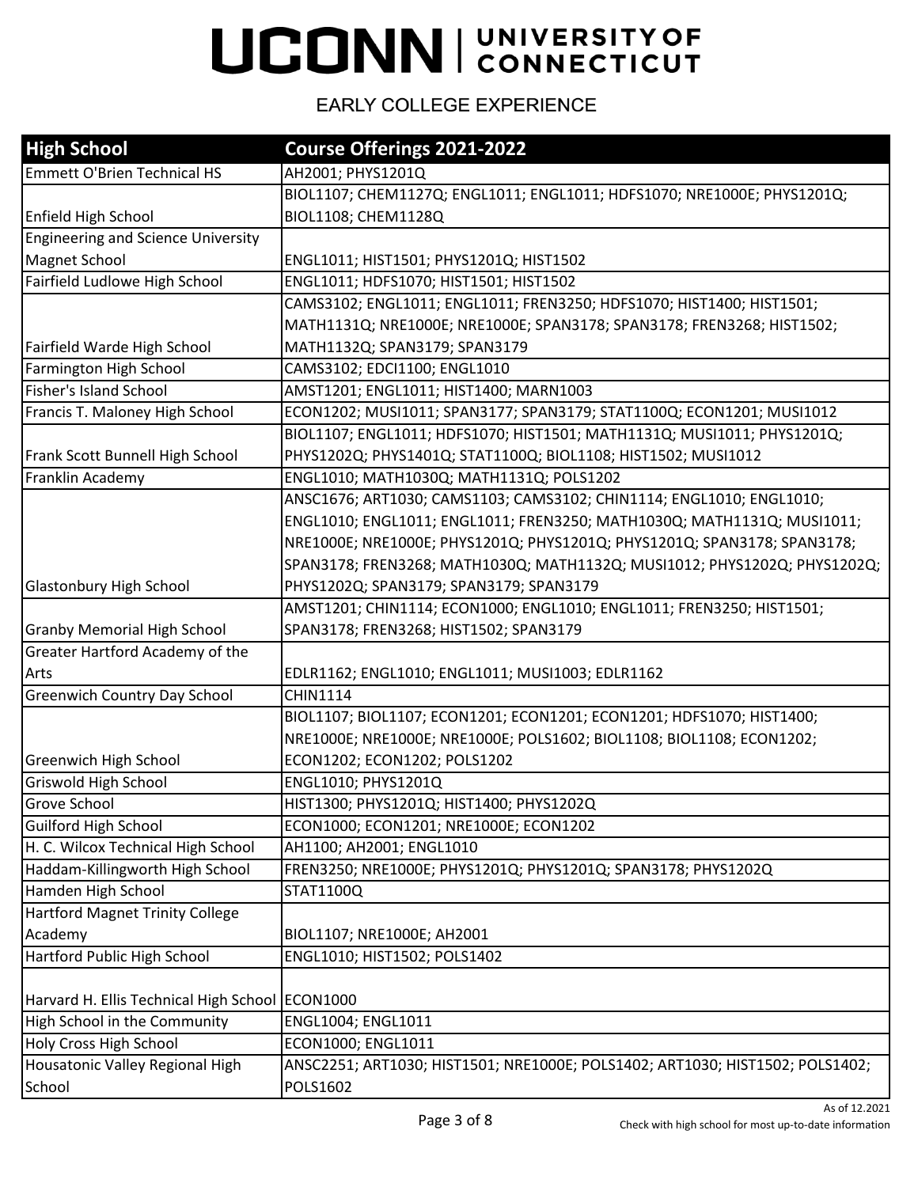| <b>High School</b>                              | Course Offerings 2021-2022                                                    |
|-------------------------------------------------|-------------------------------------------------------------------------------|
| <b>Emmett O'Brien Technical HS</b>              | AH2001; PHYS1201Q                                                             |
|                                                 | BIOL1107; CHEM1127Q; ENGL1011; ENGL1011; HDFS1070; NRE1000E; PHYS1201Q;       |
| Enfield High School                             | BIOL1108; CHEM1128Q                                                           |
| <b>Engineering and Science University</b>       |                                                                               |
| <b>Magnet School</b>                            | ENGL1011; HIST1501; PHYS1201Q; HIST1502                                       |
| Fairfield Ludlowe High School                   | ENGL1011; HDFS1070; HIST1501; HIST1502                                        |
|                                                 | CAMS3102; ENGL1011; ENGL1011; FREN3250; HDFS1070; HIST1400; HIST1501;         |
|                                                 | MATH1131Q; NRE1000E; NRE1000E; SPAN3178; SPAN3178; FREN3268; HIST1502;        |
| Fairfield Warde High School                     | MATH1132Q; SPAN3179; SPAN3179                                                 |
| Farmington High School                          | CAMS3102; EDCI1100; ENGL1010                                                  |
| Fisher's Island School                          | AMST1201; ENGL1011; HIST1400; MARN1003                                        |
| Francis T. Maloney High School                  | ECON1202; MUSI1011; SPAN3177; SPAN3179; STAT1100Q; ECON1201; MUSI1012         |
|                                                 | BIOL1107; ENGL1011; HDFS1070; HIST1501; MATH1131Q; MUSI1011; PHYS1201Q;       |
| Frank Scott Bunnell High School                 | PHYS1202Q; PHYS1401Q; STAT1100Q; BIOL1108; HIST1502; MUSI1012                 |
| Franklin Academy                                | ENGL1010; MATH1030Q; MATH1131Q; POLS1202                                      |
|                                                 | ANSC1676; ART1030; CAMS1103; CAMS3102; CHIN1114; ENGL1010; ENGL1010;          |
|                                                 | ENGL1010; ENGL1011; ENGL1011; FREN3250; MATH1030Q; MATH1131Q; MUSI1011;       |
|                                                 | NRE1000E; NRE1000E; PHYS1201Q; PHYS1201Q; PHYS1201Q; SPAN3178; SPAN3178;      |
|                                                 | SPAN3178; FREN3268; MATH1030Q; MATH1132Q; MUSI1012; PHYS1202Q; PHYS1202Q;     |
| <b>Glastonbury High School</b>                  | PHYS1202Q; SPAN3179; SPAN3179; SPAN3179                                       |
|                                                 | AMST1201; CHIN1114; ECON1000; ENGL1010; ENGL1011; FREN3250; HIST1501;         |
| <b>Granby Memorial High School</b>              | SPAN3178; FREN3268; HIST1502; SPAN3179                                        |
| Greater Hartford Academy of the                 |                                                                               |
| Arts                                            | EDLR1162; ENGL1010; ENGL1011; MUSI1003; EDLR1162                              |
| <b>Greenwich Country Day School</b>             | <b>CHIN1114</b>                                                               |
|                                                 | BIOL1107; BIOL1107; ECON1201; ECON1201; ECON1201; HDFS1070; HIST1400;         |
|                                                 | NRE1000E; NRE1000E; NRE1000E; POLS1602; BIOL1108; BIOL1108; ECON1202;         |
| <b>Greenwich High School</b>                    | ECON1202; ECON1202; POLS1202                                                  |
| <b>Griswold High School</b>                     | ENGL1010; PHYS1201Q                                                           |
| <b>Grove School</b>                             | HIST1300; PHYS1201Q; HIST1400; PHYS1202Q                                      |
| Guilford High School                            | ECON1000; ECON1201; NRE1000E; ECON1202                                        |
| H. C. Wilcox Technical High School              | AH1100; AH2001; ENGL1010                                                      |
| Haddam-Killingworth High School                 | FREN3250; NRE1000E; PHYS1201Q; PHYS1201Q; SPAN3178; PHYS1202Q                 |
| Hamden High School                              | STAT1100Q                                                                     |
| <b>Hartford Magnet Trinity College</b>          |                                                                               |
| Academy                                         | BIOL1107; NRE1000E; AH2001                                                    |
| Hartford Public High School                     | ENGL1010; HIST1502; POLS1402                                                  |
|                                                 |                                                                               |
| Harvard H. Ellis Technical High School ECON1000 |                                                                               |
| High School in the Community                    | ENGL1004; ENGL1011                                                            |
| <b>Holy Cross High School</b>                   | ECON1000; ENGL1011                                                            |
| Housatonic Valley Regional High                 | ANSC2251; ART1030; HIST1501; NRE1000E; POLS1402; ART1030; HIST1502; POLS1402; |
| School                                          | POLS1602                                                                      |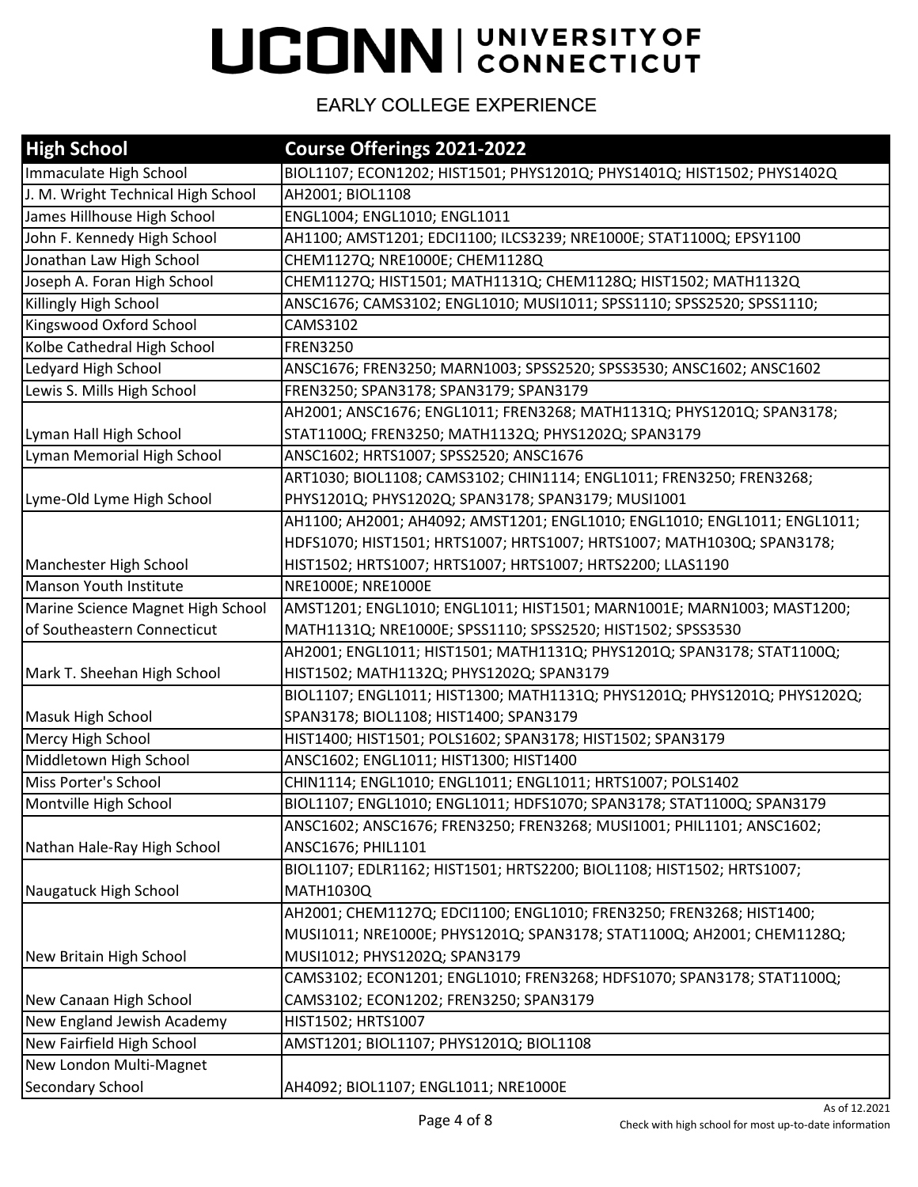| <b>High School</b>                 | Course Offerings 2021-2022                                                |
|------------------------------------|---------------------------------------------------------------------------|
| Immaculate High School             | BIOL1107; ECON1202; HIST1501; PHYS1201Q; PHYS1401Q; HIST1502; PHYS1402Q   |
| J. M. Wright Technical High School | AH2001; BIOL1108                                                          |
| James Hillhouse High School        | ENGL1004; ENGL1010; ENGL1011                                              |
| John F. Kennedy High School        | AH1100; AMST1201; EDCI1100; ILCS3239; NRE1000E; STAT1100Q; EPSY1100       |
| Jonathan Law High School           | CHEM1127Q; NRE1000E; CHEM1128Q                                            |
| Joseph A. Foran High School        | CHEM1127Q; HIST1501; MATH1131Q; CHEM1128Q; HIST1502; MATH1132Q            |
| Killingly High School              | ANSC1676; CAMS3102; ENGL1010; MUSI1011; SPSS1110; SPSS2520; SPSS1110;     |
| Kingswood Oxford School            | CAMS3102                                                                  |
| Kolbe Cathedral High School        | <b>FREN3250</b>                                                           |
| Ledyard High School                | ANSC1676; FREN3250; MARN1003; SPSS2520; SPSS3530; ANSC1602; ANSC1602      |
| Lewis S. Mills High School         | FREN3250; SPAN3178; SPAN3179; SPAN3179                                    |
|                                    | AH2001; ANSC1676; ENGL1011; FREN3268; MATH1131Q; PHYS1201Q; SPAN3178;     |
| Lyman Hall High School             | STAT1100Q; FREN3250; MATH1132Q; PHYS1202Q; SPAN3179                       |
| Lyman Memorial High School         | ANSC1602; HRTS1007; SPSS2520; ANSC1676                                    |
|                                    | ART1030; BIOL1108; CAMS3102; CHIN1114; ENGL1011; FREN3250; FREN3268;      |
| Lyme-Old Lyme High School          | PHYS1201Q; PHYS1202Q; SPAN3178; SPAN3179; MUSI1001                        |
|                                    | AH1100; AH2001; AH4092; AMST1201; ENGL1010; ENGL1010; ENGL1011; ENGL1011; |
|                                    | HDFS1070; HIST1501; HRTS1007; HRTS1007; HRTS1007; MATH1030Q; SPAN3178;    |
| Manchester High School             | HIST1502; HRTS1007; HRTS1007; HRTS1007; HRTS2200; LLAS1190                |
| Manson Youth Institute             | NRE1000E; NRE1000E                                                        |
| Marine Science Magnet High School  | AMST1201; ENGL1010; ENGL1011; HIST1501; MARN1001E; MARN1003; MAST1200;    |
| of Southeastern Connecticut        | MATH1131Q; NRE1000E; SPSS1110; SPSS2520; HIST1502; SPSS3530               |
|                                    | AH2001; ENGL1011; HIST1501; MATH1131Q; PHYS1201Q; SPAN3178; STAT1100Q;    |
| Mark T. Sheehan High School        | HIST1502; MATH1132Q; PHYS1202Q; SPAN3179                                  |
|                                    | BIOL1107; ENGL1011; HIST1300; MATH1131Q; PHYS1201Q; PHYS1201Q; PHYS1202Q; |
| Masuk High School                  | SPAN3178; BIOL1108; HIST1400; SPAN3179                                    |
| Mercy High School                  | HIST1400; HIST1501; POLS1602; SPAN3178; HIST1502; SPAN3179                |
| Middletown High School             | ANSC1602; ENGL1011; HIST1300; HIST1400                                    |
| Miss Porter's School               | CHIN1114; ENGL1010; ENGL1011; ENGL1011; HRTS1007; POLS1402                |
| Montville High School              | BIOL1107; ENGL1010; ENGL1011; HDFS1070; SPAN3178; STAT1100Q; SPAN3179     |
|                                    | ANSC1602; ANSC1676; FREN3250; FREN3268; MUSI1001; PHIL1101; ANSC1602;     |
| Nathan Hale-Ray High School        | ANSC1676; PHIL1101                                                        |
|                                    | BIOL1107; EDLR1162; HIST1501; HRTS2200; BIOL1108; HIST1502; HRTS1007;     |
| Naugatuck High School              | <b>MATH1030Q</b>                                                          |
|                                    | AH2001; CHEM1127Q; EDCI1100; ENGL1010; FREN3250; FREN3268; HIST1400;      |
|                                    | MUSI1011; NRE1000E; PHYS1201Q; SPAN3178; STAT1100Q; AH2001; CHEM1128Q;    |
| New Britain High School            | MUSI1012; PHYS1202Q; SPAN3179                                             |
|                                    | CAMS3102; ECON1201; ENGL1010; FREN3268; HDFS1070; SPAN3178; STAT1100Q;    |
| New Canaan High School             | CAMS3102; ECON1202; FREN3250; SPAN3179                                    |
| New England Jewish Academy         | HIST1502; HRTS1007                                                        |
| New Fairfield High School          | AMST1201; BIOL1107; PHYS1201Q; BIOL1108                                   |
| New London Multi-Magnet            |                                                                           |
| Secondary School                   | AH4092; BIOL1107; ENGL1011; NRE1000E                                      |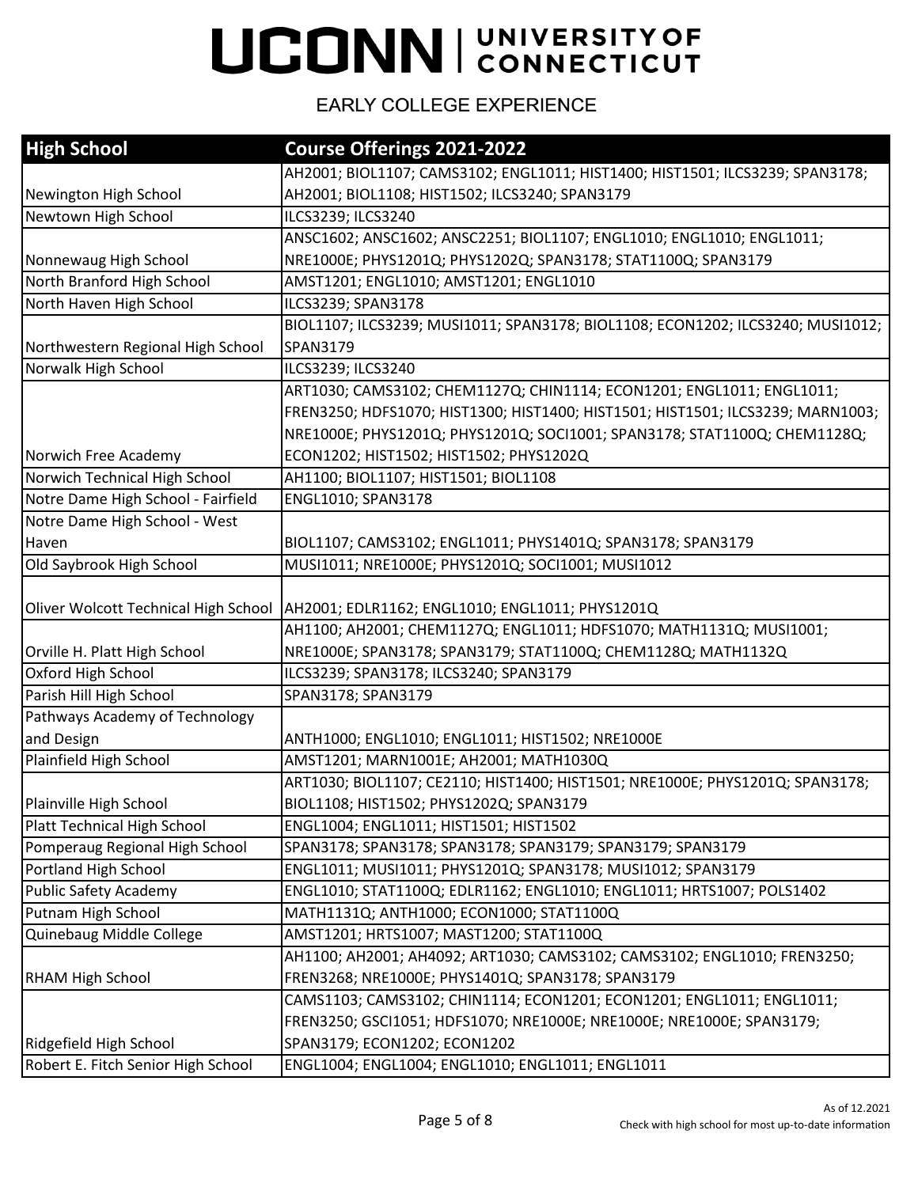| <b>High School</b>                 | Course Offerings 2021-2022                                                             |
|------------------------------------|----------------------------------------------------------------------------------------|
|                                    | AH2001; BIOL1107; CAMS3102; ENGL1011; HIST1400; HIST1501; ILCS3239; SPAN3178;          |
| Newington High School              | AH2001; BIOL1108; HIST1502; ILCS3240; SPAN3179                                         |
| Newtown High School                | ILCS3239; ILCS3240                                                                     |
|                                    | ANSC1602; ANSC1602; ANSC2251; BIOL1107; ENGL1010; ENGL1010; ENGL1011;                  |
| Nonnewaug High School              | NRE1000E; PHYS1201Q; PHYS1202Q; SPAN3178; STAT1100Q; SPAN3179                          |
| North Branford High School         | AMST1201; ENGL1010; AMST1201; ENGL1010                                                 |
| North Haven High School            | ILCS3239; SPAN3178                                                                     |
|                                    | BIOL1107; ILCS3239; MUSI1011; SPAN3178; BIOL1108; ECON1202; ILCS3240; MUSI1012;        |
| Northwestern Regional High School  | SPAN3179                                                                               |
| Norwalk High School                | ILCS3239; ILCS3240                                                                     |
|                                    | ART1030; CAMS3102; CHEM1127Q; CHIN1114; ECON1201; ENGL1011; ENGL1011;                  |
|                                    | FREN3250; HDFS1070; HIST1300; HIST1400; HIST1501; HIST1501; ILCS3239; MARN1003;        |
|                                    | NRE1000E; PHYS1201Q; PHYS1201Q; SOCI1001; SPAN3178; STAT1100Q; CHEM1128Q;              |
| Norwich Free Academy               | ECON1202; HIST1502; HIST1502; PHYS1202Q                                                |
| Norwich Technical High School      | AH1100; BIOL1107; HIST1501; BIOL1108                                                   |
| Notre Dame High School - Fairfield | ENGL1010; SPAN3178                                                                     |
| Notre Dame High School - West      |                                                                                        |
| Haven                              | BIOL1107; CAMS3102; ENGL1011; PHYS1401Q; SPAN3178; SPAN3179                            |
| Old Saybrook High School           | MUSI1011; NRE1000E; PHYS1201Q; SOCI1001; MUSI1012                                      |
|                                    |                                                                                        |
|                                    | Oliver Wolcott Technical High School   AH2001; EDLR1162; ENGL1010; ENGL1011; PHYS1201Q |
|                                    | AH1100; AH2001; CHEM1127Q; ENGL1011; HDFS1070; MATH1131Q; MUSI1001;                    |
| Orville H. Platt High School       | NRE1000E; SPAN3178; SPAN3179; STAT1100Q; CHEM1128Q; MATH1132Q                          |
| Oxford High School                 | ILCS3239; SPAN3178; ILCS3240; SPAN3179                                                 |
| Parish Hill High School            | SPAN3178; SPAN3179                                                                     |
| Pathways Academy of Technology     |                                                                                        |
| and Design                         | ANTH1000; ENGL1010; ENGL1011; HIST1502; NRE1000E                                       |
| Plainfield High School             | AMST1201; MARN1001E; AH2001; MATH1030Q                                                 |
|                                    | ART1030; BIOL1107; CE2110; HIST1400; HIST1501; NRE1000E; PHYS1201Q; SPAN3178;          |
| Plainville High School             | BIOL1108; HIST1502; PHYS1202Q; SPAN3179                                                |
| Platt Technical High School        | ENGL1004; ENGL1011; HIST1501; HIST1502                                                 |
| Pomperaug Regional High School     | SPAN3178; SPAN3178; SPAN3178; SPAN3179; SPAN3179; SPAN3179                             |
| Portland High School               | ENGL1011; MUSI1011; PHYS1201Q; SPAN3178; MUSI1012; SPAN3179                            |
| <b>Public Safety Academy</b>       | ENGL1010; STAT1100Q; EDLR1162; ENGL1010; ENGL1011; HRTS1007; POLS1402                  |
| Putnam High School                 | MATH1131Q; ANTH1000; ECON1000; STAT1100Q                                               |
| Quinebaug Middle College           | AMST1201; HRTS1007; MAST1200; STAT1100Q                                                |
|                                    | AH1100; AH2001; AH4092; ART1030; CAMS3102; CAMS3102; ENGL1010; FREN3250;               |
| <b>RHAM High School</b>            | FREN3268; NRE1000E; PHYS1401Q; SPAN3178; SPAN3179                                      |
|                                    | CAMS1103; CAMS3102; CHIN1114; ECON1201; ECON1201; ENGL1011; ENGL1011;                  |
|                                    | FREN3250; GSCI1051; HDFS1070; NRE1000E; NRE1000E; NRE1000E; SPAN3179;                  |
| Ridgefield High School             | SPAN3179; ECON1202; ECON1202                                                           |
| Robert E. Fitch Senior High School | ENGL1004; ENGL1004; ENGL1010; ENGL1011; ENGL1011                                       |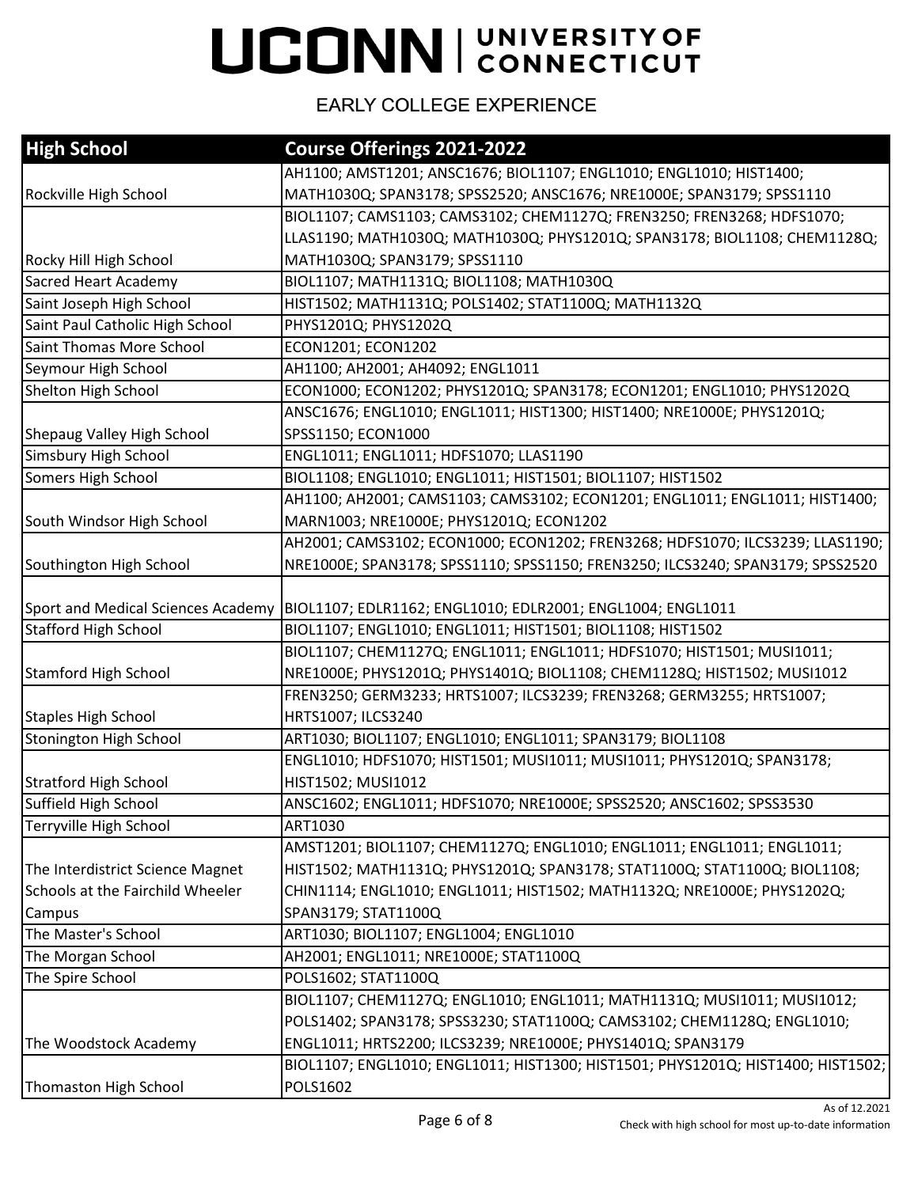| <b>High School</b>               | Course Offerings 2021-2022                                                                     |
|----------------------------------|------------------------------------------------------------------------------------------------|
|                                  | AH1100; AMST1201; ANSC1676; BIOL1107; ENGL1010; ENGL1010; HIST1400;                            |
| Rockville High School            | MATH1030Q; SPAN3178; SPSS2520; ANSC1676; NRE1000E; SPAN3179; SPSS1110                          |
|                                  | BIOL1107; CAMS1103; CAMS3102; CHEM1127Q; FREN3250; FREN3268; HDFS1070;                         |
|                                  | LLAS1190; MATH1030Q; MATH1030Q; PHYS1201Q; SPAN3178; BIOL1108; CHEM1128Q;                      |
| Rocky Hill High School           | MATH1030Q; SPAN3179; SPSS1110                                                                  |
| <b>Sacred Heart Academy</b>      | BIOL1107; MATH1131Q; BIOL1108; MATH1030Q                                                       |
| Saint Joseph High School         | HIST1502; MATH1131Q; POLS1402; STAT1100Q; MATH1132Q                                            |
| Saint Paul Catholic High School  | PHYS1201Q; PHYS1202Q                                                                           |
| Saint Thomas More School         | ECON1201; ECON1202                                                                             |
| Seymour High School              | AH1100; AH2001; AH4092; ENGL1011                                                               |
| Shelton High School              | ECON1000; ECON1202; PHYS1201Q; SPAN3178; ECON1201; ENGL1010; PHYS1202Q                         |
|                                  | ANSC1676; ENGL1010; ENGL1011; HIST1300; HIST1400; NRE1000E; PHYS1201Q;                         |
| Shepaug Valley High School       | SPSS1150; ECON1000                                                                             |
| Simsbury High School             | ENGL1011; ENGL1011; HDFS1070; LLAS1190                                                         |
| Somers High School               | BIOL1108; ENGL1010; ENGL1011; HIST1501; BIOL1107; HIST1502                                     |
|                                  | AH1100; AH2001; CAMS1103; CAMS3102; ECON1201; ENGL1011; ENGL1011; HIST1400;                    |
| South Windsor High School        | MARN1003; NRE1000E; PHYS1201Q; ECON1202                                                        |
|                                  | AH2001; CAMS3102; ECON1000; ECON1202; FREN3268; HDFS1070; ILCS3239; LLAS1190;                  |
| Southington High School          | NRE1000E; SPAN3178; SPSS1110; SPSS1150; FREN3250; ILCS3240; SPAN3179; SPSS2520                 |
|                                  |                                                                                                |
|                                  | Sport and Medical Sciences Academy  BIOL1107; EDLR1162; ENGL1010; EDLR2001; ENGL1004; ENGL1011 |
| <b>Stafford High School</b>      | BIOL1107; ENGL1010; ENGL1011; HIST1501; BIOL1108; HIST1502                                     |
|                                  | BIOL1107; CHEM1127Q; ENGL1011; ENGL1011; HDFS1070; HIST1501; MUSI1011;                         |
| <b>Stamford High School</b>      | NRE1000E; PHYS1201Q; PHYS1401Q; BIOL1108; CHEM1128Q; HIST1502; MUSI1012                        |
|                                  | FREN3250; GERM3233; HRTS1007; ILCS3239; FREN3268; GERM3255; HRTS1007;                          |
| <b>Staples High School</b>       | HRTS1007; ILCS3240                                                                             |
| Stonington High School           | ART1030; BIOL1107; ENGL1010; ENGL1011; SPAN3179; BIOL1108                                      |
|                                  | ENGL1010; HDFS1070; HIST1501; MUSI1011; MUSI1011; PHYS1201Q; SPAN3178;                         |
| <b>Stratford High School</b>     | HIST1502; MUSI1012                                                                             |
| Suffield High School             | ANSC1602; ENGL1011; HDFS1070; NRE1000E; SPSS2520; ANSC1602; SPSS3530                           |
| Terryville High School           | ART1030                                                                                        |
|                                  | AMST1201; BIOL1107; CHEM1127Q; ENGL1010; ENGL1011; ENGL1011; ENGL1011;                         |
| The Interdistrict Science Magnet | HIST1502; MATH1131Q; PHYS1201Q; SPAN3178; STAT1100Q; STAT1100Q; BIOL1108;                      |
| Schools at the Fairchild Wheeler | CHIN1114; ENGL1010; ENGL1011; HIST1502; MATH1132Q; NRE1000E; PHYS1202Q;                        |
| Campus                           | SPAN3179; STAT1100Q                                                                            |
| The Master's School              | ART1030; BIOL1107; ENGL1004; ENGL1010                                                          |
| The Morgan School                | AH2001; ENGL1011; NRE1000E; STAT1100Q                                                          |
| The Spire School                 | POLS1602; STAT1100Q                                                                            |
|                                  | BIOL1107; CHEM1127Q; ENGL1010; ENGL1011; MATH1131Q; MUSI1011; MUSI1012;                        |
|                                  | POLS1402; SPAN3178; SPSS3230; STAT1100Q; CAMS3102; CHEM1128Q; ENGL1010;                        |
| The Woodstock Academy            | ENGL1011; HRTS2200; ILCS3239; NRE1000E; PHYS1401Q; SPAN3179                                    |
|                                  | BIOL1107; ENGL1010; ENGL1011; HIST1300; HIST1501; PHYS1201Q; HIST1400; HIST1502;               |
| Thomaston High School            | POLS1602                                                                                       |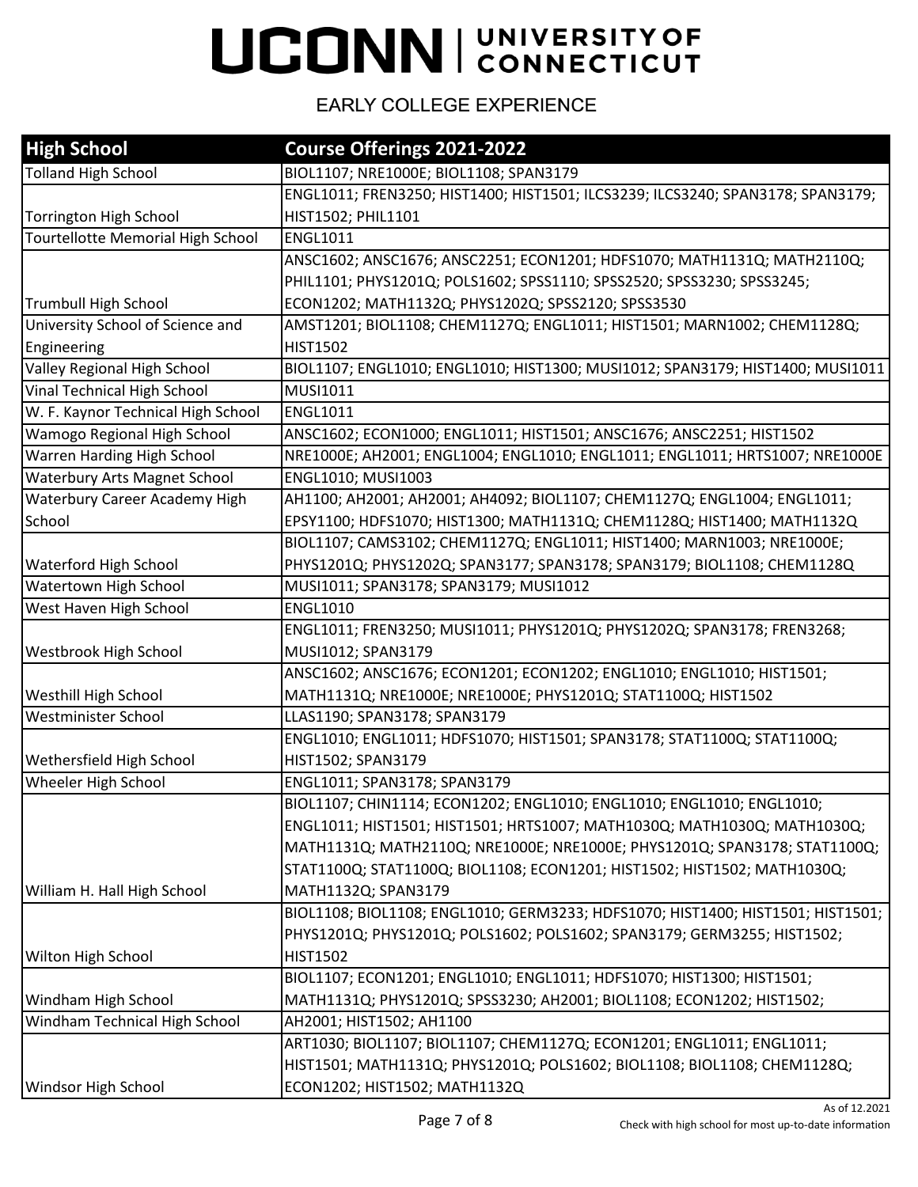| <b>High School</b>                  | Course Offerings 2021-2022                                                      |
|-------------------------------------|---------------------------------------------------------------------------------|
| <b>Tolland High School</b>          | BIOL1107; NRE1000E; BIOL1108; SPAN3179                                          |
|                                     | ENGL1011; FREN3250; HIST1400; HIST1501; ILCS3239; ILCS3240; SPAN3178; SPAN3179; |
| Torrington High School              | HIST1502; PHIL1101                                                              |
| Tourtellotte Memorial High School   | ENGL1011                                                                        |
|                                     | ANSC1602; ANSC1676; ANSC2251; ECON1201; HDFS1070; MATH1131Q; MATH2110Q;         |
|                                     | PHIL1101; PHYS1201Q; POLS1602; SPSS1110; SPSS2520; SPSS3230; SPSS3245;          |
| <b>Trumbull High School</b>         | ECON1202; MATH1132Q; PHYS1202Q; SPSS2120; SPSS3530                              |
| University School of Science and    | AMST1201; BIOL1108; CHEM1127Q; ENGL1011; HIST1501; MARN1002; CHEM1128Q;         |
| Engineering                         | <b>HIST1502</b>                                                                 |
| Valley Regional High School         | BIOL1107; ENGL1010; ENGL1010; HIST1300; MUSI1012; SPAN3179; HIST1400; MUSI1011  |
| Vinal Technical High School         | MUSI1011                                                                        |
| W. F. Kaynor Technical High School  | <b>ENGL1011</b>                                                                 |
| Wamogo Regional High School         | ANSC1602; ECON1000; ENGL1011; HIST1501; ANSC1676; ANSC2251; HIST1502            |
| Warren Harding High School          | NRE1000E; AH2001; ENGL1004; ENGL1010; ENGL1011; ENGL1011; HRTS1007; NRE1000E    |
| <b>Waterbury Arts Magnet School</b> | ENGL1010; MUSI1003                                                              |
| Waterbury Career Academy High       | AH1100; AH2001; AH2001; AH4092; BIOL1107; CHEM1127Q; ENGL1004; ENGL1011;        |
| School                              | EPSY1100; HDFS1070; HIST1300; MATH1131Q; CHEM1128Q; HIST1400; MATH1132Q         |
|                                     | BIOL1107; CAMS3102; CHEM1127Q; ENGL1011; HIST1400; MARN1003; NRE1000E;          |
| Waterford High School               | PHYS1201Q; PHYS1202Q; SPAN3177; SPAN3178; SPAN3179; BIOL1108; CHEM1128Q         |
| <b>Watertown High School</b>        | MUSI1011; SPAN3178; SPAN3179; MUSI1012                                          |
| West Haven High School              | <b>ENGL1010</b>                                                                 |
|                                     | ENGL1011; FREN3250; MUSI1011; PHYS1201Q; PHYS1202Q; SPAN3178; FREN3268;         |
| Westbrook High School               | MUSI1012; SPAN3179                                                              |
|                                     | ANSC1602; ANSC1676; ECON1201; ECON1202; ENGL1010; ENGL1010; HIST1501;           |
| Westhill High School                | MATH1131Q; NRE1000E; NRE1000E; PHYS1201Q; STAT1100Q; HIST1502                   |
| Westminister School                 | LLAS1190; SPAN3178; SPAN3179                                                    |
|                                     | ENGL1010; ENGL1011; HDFS1070; HIST1501; SPAN3178; STAT1100Q; STAT1100Q;         |
| Wethersfield High School            | HIST1502; SPAN3179                                                              |
| Wheeler High School                 | ENGL1011; SPAN3178; SPAN3179                                                    |
|                                     | BIOL1107; CHIN1114; ECON1202; ENGL1010; ENGL1010; ENGL1010; ENGL1010;           |
|                                     | ENGL1011; HIST1501; HIST1501; HRTS1007; MATH1030Q; MATH1030Q; MATH1030Q;        |
|                                     | MATH1131Q; MATH2110Q; NRE1000E; NRE1000E; PHYS1201Q; SPAN3178; STAT1100Q;       |
|                                     | STAT1100Q; STAT1100Q; BIOL1108; ECON1201; HIST1502; HIST1502; MATH1030Q;        |
| William H. Hall High School         | MATH1132Q; SPAN3179                                                             |
|                                     | BIOL1108; BIOL1108; ENGL1010; GERM3233; HDFS1070; HIST1400; HIST1501; HIST1501; |
|                                     | PHYS1201Q; PHYS1201Q; POLS1602; POLS1602; SPAN3179; GERM3255; HIST1502;         |
| Wilton High School                  | <b>HIST1502</b>                                                                 |
|                                     | BIOL1107; ECON1201; ENGL1010; ENGL1011; HDFS1070; HIST1300; HIST1501;           |
| Windham High School                 | MATH1131Q; PHYS1201Q; SPSS3230; AH2001; BIOL1108; ECON1202; HIST1502;           |
| Windham Technical High School       | AH2001; HIST1502; AH1100                                                        |
|                                     | ART1030; BIOL1107; BIOL1107; CHEM1127Q; ECON1201; ENGL1011; ENGL1011;           |
|                                     | HIST1501; MATH1131Q; PHYS1201Q; POLS1602; BIOL1108; BIOL1108; CHEM1128Q;        |
| Windsor High School                 | ECON1202; HIST1502; MATH1132Q                                                   |